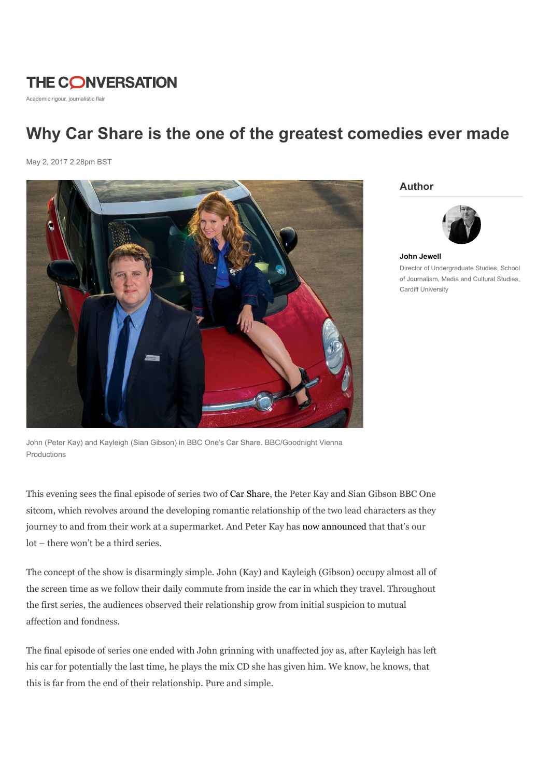# **THE CONVERSATION**

Academic rigour, journalistic flair

## Why Car Share is the one of the greatest comedies ever made

May 2, 2017 2.28pm BST



Author



John Jewell Director of Undergraduate Studies, School

of Journalism, Media and Cultural Studies, Cardiff University

John (Peter Kay) and Kayleigh (Sian Gibson) in BBC One's Car Share. BBC/Goodnight Vienna Productions

This evening sees the final episode of series two of Car Share, the Peter Kay and Sian Gibson BBC One sitcom, which revolves around the developing romantic relationship of the two lead characters as they journey to and from their work at a supermarket. And Peter Kay has now announced that that's our lot – there won't be a third series.

The concept of the show is disarmingly simple. John (Kay) and Kayleigh (Gibson) occupy almost all of the screen time as we follow their daily commute from inside the car in which they travel. Throughout the first series, the audiences observed their relationship grow from initial suspicion to mutual affection and fondness.

The final episode of series one ended with John grinning with unaffected joy as, after Kayleigh has left his car for potentially the last time, he plays the mix CD she has given him. We know, he knows, that this is far from the end of their relationship. Pure and simple.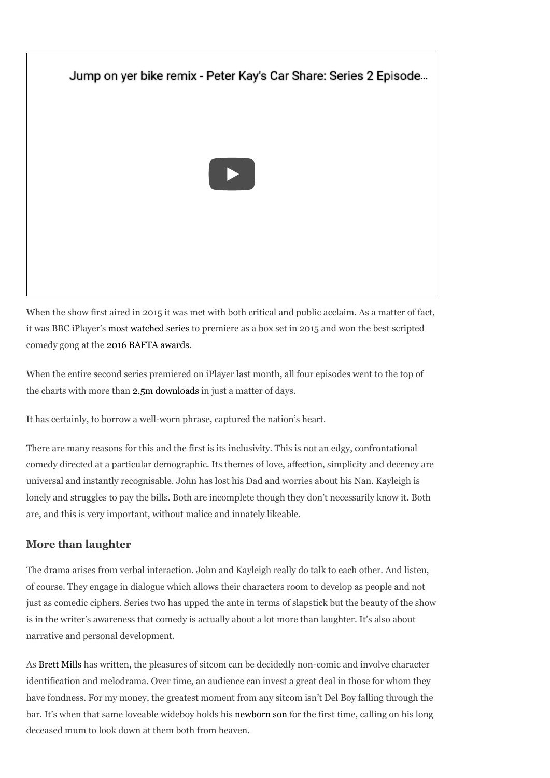### Jump on yer bike remix - Peter Kay's Car Share: Series 2 Episode...



When the show first aired in 2015 it was met with both critical and public acclaim. As a matter of fact, it was BBC iPlayer's most watched series to premiere as a box set in 2015 and won the best scripted comedy gong at the 2016 BAFTA awards.

When the entire second series premiered on iPlayer last month, all four episodes went to the top of the charts with more than 2.5m downloads in just a matter of days.

It has certainly, to borrow a well-worn phrase, captured the nation's heart.

There are many reasons for this and the first is its inclusivity. This is not an edgy, confrontational comedy directed at a particular demographic. Its themes of love, affection, simplicity and decency are universal and instantly recognisable. John has lost his Dad and worries about his Nan. Kayleigh is lonely and struggles to pay the bills. Both are incomplete though they don't necessarily know it. Both are, and this is very important, without malice and innately likeable.

#### More than laughter

The drama arises from verbal interaction. John and Kayleigh really do talk to each other. And listen, of course. They engage in dialogue which allows their characters room to develop as people and not just as comedic ciphers. Series two has upped the ante in terms of slapstick but the beauty of the show is in the writer's awareness that comedy is actually about a lot more than laughter. It's also about narrative and personal development.

As Brett Mills has written, the pleasures of sitcom can be decidedly non-comic and involve character identification and melodrama. Over time, an audience can invest a great deal in those for whom they have fondness. For my money, the greatest moment from any sitcom isn't Del Boy falling through the bar. It's when that same loveable wideboy holds his newborn son for the first time, calling on his long deceased mum to look down at them both from heaven.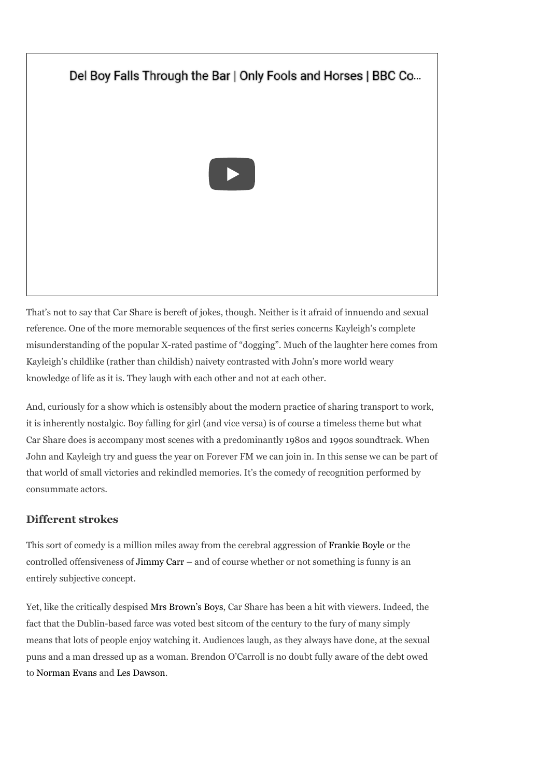## Del Boy Falls Through the Bar | Only Fools and Horses | BBC Co...



That's not to say that Car Share is bereft of jokes, though. Neither is it afraid of innuendo and sexual reference. One of the more memorable sequences of the first series concerns Kayleigh's complete misunderstanding of the popular X-rated pastime of "dogging". Much of the laughter here comes from Kayleigh's childlike (rather than childish) naivety contrasted with John's more world weary knowledge of life as it is. They laugh with each other and not at each other.

And, curiously for a show which is ostensibly about the modern practice of sharing transport to work, it is inherently nostalgic. Boy falling for girl (and vice versa) is of course a timeless theme but what Car Share does is accompany most scenes with a predominantly 1980s and 1990s soundtrack. When John and Kayleigh try and guess the year on Forever FM we can join in. In this sense we can be part of that world of small victories and rekindled memories. It's the comedy of recognition performed by consummate actors.

#### Different strokes

This sort of comedy is a million miles away from the cerebral aggression of Frankie Boyle or the controlled offensiveness of Jimmy Carr – and of course whether or not something is funny is an entirely subjective concept.

Yet, like the critically despised Mrs Brown's Boys, Car Share has been a hit with viewers. Indeed, the fact that the Dublin-based farce was voted best sitcom of the century to the fury of many simply means that lots of people enjoy watching it. Audiences laugh, as they always have done, at the sexual puns and a man dressed up as a woman. Brendon O'Carroll is no doubt fully aware of the debt owed to Norman Evans and Les Dawson.